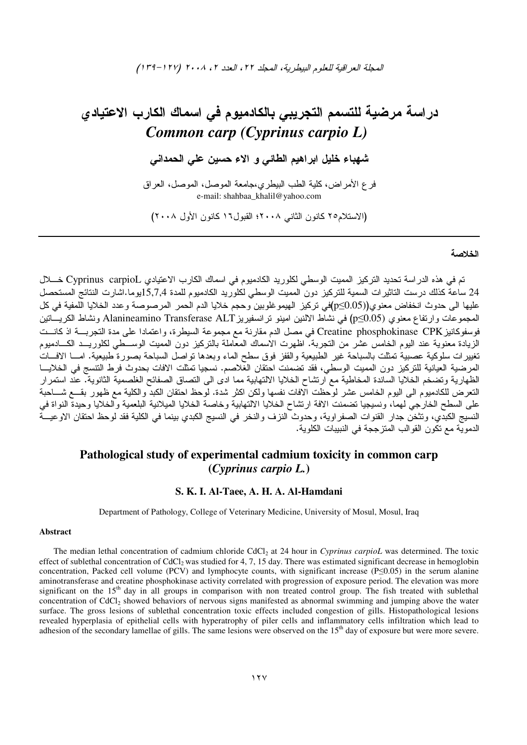# در اسبة مرضية للتسمم التجريبي بالكادميوم في اسماك الكارب الاعتيادي *Common carp (Cyprinus carpio L)*

.<br>شهباء خليل ابراهيم الطائي و الاء حسين علي الحمداني

فرع الأمراض، كلية الطب البيطري،جامعة الموصل، الموصل، الفراق e-mail: shahbaa\_khalil@yahoo.com

(الاستلام٦٥ كانون الثاني ٢٠٠٨؛ القبول٦١ كانون الأول ٢٠٠٨)

#### الخلاصة

تم في هذه الدراسة تحديد التركيز المميت الوسطي لكلوريد الكادميوم في اسماك الكارب الاعتيادي Cyprinus carpioL خـــــلال 24 ساعة كذلك درست الناثيرات السمية للتركيز دون المميت الوسطي لكلوريد الكادميوم للمدة 15,7,4يوما.اشارت النتائج المستحصل عليها الى حدوث انخفاض معنوي(p≤0.05)في نركيز الهيموغلوبين وحجم خلايا الدم الحمر المرصوصة وعدد الخلايا اللمفية في كل المجموعات وارتفاع معنوي (p≤0.05) في نشاط الالنين امينو نرانسفيريز Alanineamino Transferase ALT ونشاط الكريـــاتين فوسفوكانيز Creatine phosphokinase CPK في مصل الدم مقارنة مع مجموعة السيطرة، واعتمادا على مدة التجربــــة اذ كانـــت الزيادة معنوية عند اليوم الخامس عشر من التجربة. اظهرت الاسماك المعاملة بالتركيز دون المميت الوســـطي لكلوريـــد الكـــادميوم نغييرات سلوكية عصبية تمثلت بالسباحة غير الطبيعية والقفز فوق سطح الماء وبعدها نواصل السباحة بصورة طبيعية. امـــا الافـــات المرضية العيانية للتركيز دون المميت الوسطي، فقد تضمنت احتقان الغلاصم. نسجيا تمثلت الافات بحدوث فرط التتسج في الخلايـــا الظهارية وتضخم الخلايا الساندة المخاطبة مع ارتشاح الخلايا الالتهابية مما ادى الى التصاق الصفائح الغلصمية الثانوية. عند استمرار النعرض للكادميوم الى اليوم الخامس عشر لوحظت الافات نفسها ولكن اكثر شدة. لوحظ احتقان الكبد والكلية مع ظهور بقـــع شـــاحبة على السطح الخارجي لهما، ونسيجيا تضمنت الافة ارتشاح الخلايا الالتهابية وخاصة الخلايا الميلانية البلعمية والخلايا وحيدة النواة في النسيج الكبدي، وتثخن جدار القنوات الصفراوية، وحدوث النزف والنخر في النسيج الكبدي بينما في الكلية فقد لوحظ احتقان الاوعيـــة الدموية مع تكون القوالب المتزججة في النبيبات الكلوية.

# **Pathological study of experimental cadmium toxicity in common carp (***Cyprinus carpio L.***)**

## **S. K. I. Al-Taee, A. H. A. Al-Hamdani**

Department of Pathology, College of Veterinary Medicine, University of Mosul, Mosul, Iraq

#### **Abstract**

 The median lethal concentration of cadmium chloride CdCl2 at 24 hour in *Cyprinus carpioL* was determined. The toxic effect of sublethal concentration of CdCl<sub>2</sub> was studied for 4, 7, 15 day. There was estimated significant decrease in hemoglobin concentration, Packed cell volume (PCV) and lymphocyte counts, with significant increase (P≤0.05) in the serum alanine aminotransferase and creatine phosphokinase activity correlated with progression of exposure period. The elevation was more significant on the  $15<sup>th</sup>$  day in all groups in comparison with non treated control group. The fish treated with sublethal concentration of CdCl<sub>2</sub> showed behaviors of nervous signs manifested as abnormal swimming and jumping above the water surface. The gross lesions of sublethal concentration toxic effects included congestion of gills. Histopathological lesions revealed hyperplasia of epithelial cells with hyperatrophy of piler cells and inflammatory cells infiltration which lead to adhesion of the secondary lamellae of gills. The same lesions were observed on the  $15<sup>th</sup>$  day of exposure but were more severe.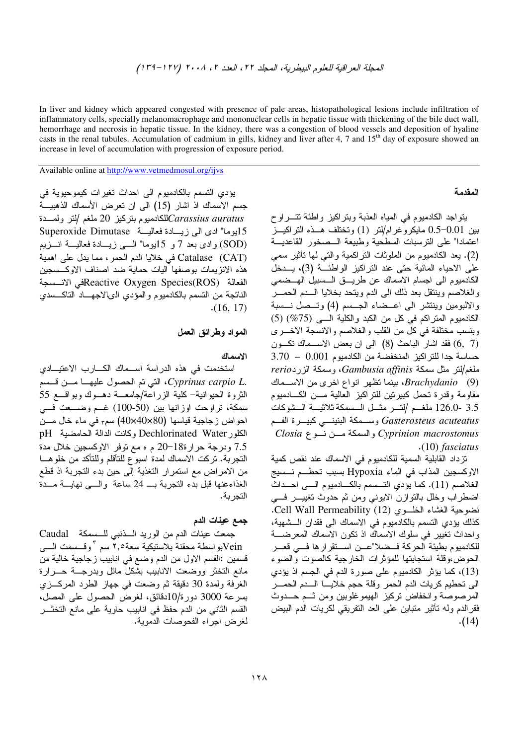In liver and kidney which appeared congested with presence of pale areas, histopathological lesions include infiltration of inflammatory cells, specially melanomacrophage and mononuclear cells in hepatic tissue with thickening of the bile duct wall, hemorrhage and necrosis in hepatic tissue. In the kidney, there was a congestion of blood vessels and deposition of hyaline casts in the renal tubules. Accumulation of cadmium in gills, kidney and liver after 4, 7 and 15<sup>th</sup> day of exposure showed an increase in level of accumulation with progression of exposure period.

Available online at http://www.vetmedmosul.org/ijvs

#### المقدمة

يتواجد الكادميوم في المياه العذبة وبنراكيز واطئة نتسراوح بين 0.1-0.5 مايكروغر ام/لتر (1) وتختلف هـــذه التر اكيـــز اعتمادا" على النرسبات السطحية وطبيعة السصخور القاعديسة (2). يعد الكادميوم من الملوثات النراكمية والتبي لها نأنثير سمي عْلَى الاحياء المائية حتى عند التراكيز الواطئــّـة (3)، يـــدخلّ الكادميوم الى اجسام الاسماك عن طريـــق الـــسبيل الهـــضمى والغلاصم وينتقل بعد ذلك الى الدم وينحد بخلايا السدم الحمسر والالبومين وينتشر الى اعــضاء الجــسم (4) وتــصل نــسبة الكادميوم المتراكم في كل من الكبد والكلية السي (75%) (5) وبنسب مختلفة في كل من القلب والغلاصم والانسجة الاخـــرى (6, 7) فقد اشار الباحث (8) الى ان بعض الاسـماك نكـون حساسة جدا للتراكيز المنخفضة من الكادميوم 0.001 – 3.70  $rero$ و سمكة الزير ده Gambusia affinis، و سمكة الزير (9) Brachydanio، بينما نظهر انواع اخرى من الاســماك مقاومة وقدرة تحمل كبيرتين للنراكيز العالية مــن الكـــادميوم 3.5 -126.0 ملغــم /لتــر مثــل الـــسمكة ثلاثيـــة الــشوكات Gasterosteus acuteatus وسـمكة البنينـــي كبيـــرة الفــم  $Closia \rightarrow Cyprinion$  والسمكة مـــن نـــو ع $Cyprinion$  $(10)$  fasciatus

تزداد القابلية السمية للكادميوم في الاسماك عند نقص كمية الاوكسجين المذاب في الماء Hypoxia بسبب تحطــم نــسيج الغلاصم (11). كما يؤدي التــسمم بالكـــادميوم الـــى احـــداث اضطراب وخال بالنوازن الايوني ومن ثم حدوث تغييــــر فسي نضوحية الغشاء الخلوى (12) Cell Wall Permeability. كذلك بؤدي التسمم بالكادميوم في الاسماك الى فقدان الـشهية، واحداث نغيير في سلوك الاسماك اذ نكون الاسماك المعرضــــة للكادميوم بطيئة الحركة فــضلا"عـــن اســـتقرار ها فـــى قعـــر الحوضءوقلة استجابتها للمؤثرات الخارجية كالصوت والضوء (13)، كما يؤثِّر الكادميوم على صورة الدم في الجسم اذ يؤدي الى تحطيم كريات الدم الحمر وقلة حجم خلايــا الــدم الحمــر المرصوصة وانخفاض نركيز الهيموغلوبين ومن ثـم حــدوث فقرالدم وله نأثير منباين على العد النفريقي لكريات الدم البيض  $(14)$ 

يؤدي التسمم بالكادميوم الى احداث تغيرات كيموحيوية في جسم الاسماك اذ اشار (15) الى ان تعرض الأسماك الذهبيـــة للكادميوم بنركيز 20 ملغم /لتر ولمـــدة $\emph{Carassius auratus}$ 15يوما" ادى الى زيسادة فعاليسة Superoxide Dimutase (SOD) وإدى بعد 7 و 15يوما" السي زيسادة فعاليسة انسزيم Catalase (CAT) في خلايا الدم الحمر، مما يدل على اهمية هذه الانزيمات بوصفها اليات حماية ضد اصناف الاوكـسجين الفعالة Reactive Oxygen Species(ROS)قى الانسسجة الناتجة من النسمم بالكادميوم والمؤدى الىالاجهــاد الناكــسدى  $(16, 17)$ 

## المواد وطرائق العمل

#### الاسماك

استخدمت في هذه الدراسة اســماك الكـــارب الاعتيـــادي التي تم الحصول عليهـا مـــن قــسم Cyprinus carpio L. الثروة الحيوانية- كلية الزراعة/جامعــة دهــوك وبواقـــع 55 سمكة، تراوحت اوزانها بين (50-100) غـم وضــعت فـــى احواض زجاجية قياسها (40x40x80) سمِّ في ماء خال مـــن الكلور Dechlorinated Water وكانت الدالة الحامضية pH 7.5 ودرجة حرارة18-20 م ه مع نوفر الاوكسجين خلال مدة التجربة. تركت الاسماك لمدة اسبوع للتأقلم وللتأكد من خلوهـــا من الامراض مع استمرار التغذية إلى حين بدء التجربة اذ قطع الغذاءعنها قبل بدء النجربة بـــ 24 ساعة والـــي نهايـــة مـــدة التجربة.

# جمع عينات الدم

جمعت عينات الدم من الوريد السذنبي للسسكة Caudal Veinبو اسطة محقنة بلاستيكية سعة٢,٥ سم "وقــسمت الــــى قسمين :القسم الاول من الدم وضع في انابيب زجاجية خالية من مانع التخثر ووضعت الانابيب بشكل مائل وبدرجــة حـــرارة الغرفة ولمدة 30 دقيقة ثم وضعت في جهاز الطرد المركـــزي بسرعة 3000 دورة/10دقائق، لغرض الحصول على المصل، القسم الثاني من الدم حفظ في انابيب حاوية على مانع التخثـــر لغرض اجراء الفحوصات الدموية.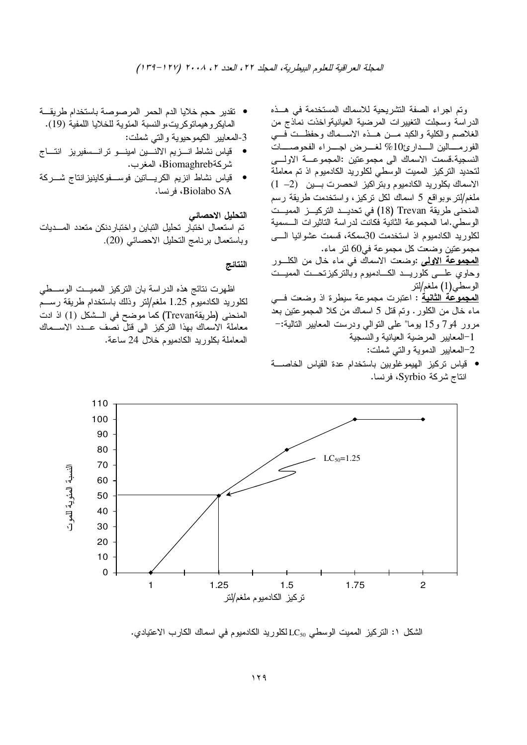- وتم اجراء الصفة التشريحية للاسماك المستخدمة في هــذه الدراسة وسجلت التغييرات المرضية العيانيةواخذت نماذج من الغلاصم والكلية والكبد مـــن هـــذه الاســـماك وحفظـــت فـــي الفورمــــالين الــــدارئ10% لغـــــرض اجـــــراء الفحوصـــــات النسجية.قسمت الاسماك الى مجموعتين :المجموعـــة الاولــــى لتحديد النركيز المميت الوسطى لكلوريد الكادميوم اذ تم معاملة الاسماك بكلوريد الكادميوم وبنراكيز انحصرت بـــين (2– 1) ملغم/لنر ،وبواقع 5 اسماك لكل نركيز ، واستخدمت طريقة رسم المنحنى طريقة Trevan (18) في تحديـــد التركيـــز المميـــت الوسطي.اما المجموعة الثانية فكانت لدراسة الناثيرات الـــسمية لكلوريد الكادميوم اذ استخدمت 30سمكة، قسمت عشوائيا الــــى مجموعتين وضعت كل مجموعة في60 لتر ماء. <mark>المجموعة الاولمي</mark> :وضعت الاسماك في ماء خال من الكلـــور وحاوي علسي كلوريـــد الكــــادميوم وبالنزكيزنـحـــت المميـــت الوسطـي(1) ملغم/لتر <u>ا**لمجموعة الثانية**</u> : اعتبرت مجموعة سيطرة اذ وضعت فـــي ماء خال من الكلور . وتم قُتل 5 اسماك من كلا المجموعتين بعد مرور 4و7 و15 بوما" على النوالي ودرست المعابير النالية:– 1–المعايير المرضية العيانية والنسجية 2–المعابير الدموية والتي شملت:
- قياس تركيز الهيموغلوبين باستخدام عدة القياس الخاصـــة انتاج شركة Syrbio، فرنسا.

• تقدير حجم خلايا الدم الحمر المرصوصة باستخدام طريقة المايكرو هيماتوكريت،والنسبة المئوية للخلايا اللمفية (19).

3-المعايير الكيموحيوية والتـي شملت:

- قياس نشاط انــــزيم الالنــــين امينــــو ترانـــسفيريز انتـــاج شركةBiomaghreb، المغرب.
- قياس نشاط انزيم الكريــــاتين فوســـفوكاينيزاننتاج شــــركة Biolabo SA، فرنسا.

التحليل الاحصائي

تم استعمال اختبار تحليل التباين واختباردنكن متعدد المـــديات وباستعمال برنامج التحليل الاحصائي (20).

## النتائج

اظهرت نتائج هذه الدراسة بان النركيز المميـــت الوســــطي لكلوريد الكادميوم 1.25 ملغم/لنر وذلك باستخدام طريقة رســـم المنحني (طريقةTrevan) كما موضح في الـــشكل (1) اذ ادت معاملة الاسماك بهذا التركيز الى قتل نصف عـــدد الاســـماك المعاملة بكلوريد الكادميوم خلال 24 ساعة.



الشكل ١: النركيز المميت الوسطي LC<sub>50</sub> لكلوريد الكادميوم في اسماك الكارب الاعتيادي.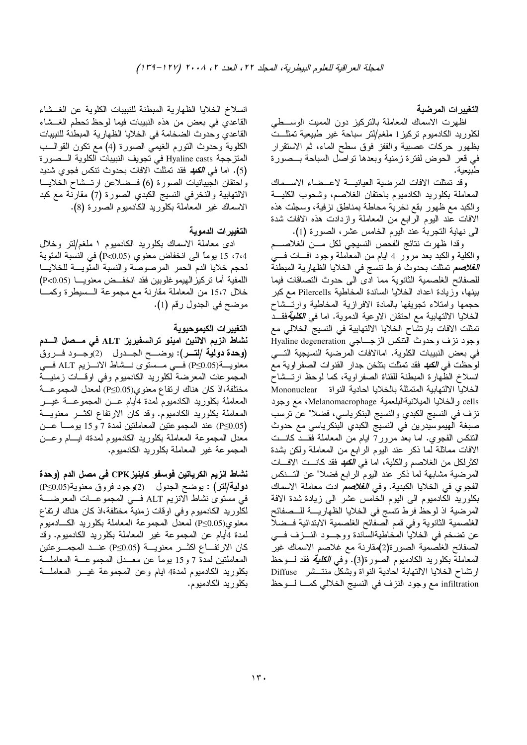التغييرات المرضية

اظهرت الاسماك المعاملة بالنركيز دون المميت الوســطي لكلوريد الكادميوم نركيز1 ملغم/لنر سباحة غير طبيعية تمثلـــت بظهور حركات عصبية والقفز فوق سطح الماء، ثم الاستقرار في قعر الحوض لفترة زمنية وبعدها نواصل السباحة بــصورة طبيعية.

وقد تمثلت الافات المرضية العيانيـــة لاعـــضاء الاســـماك المعاملة بكلوريد الكادميوم باحتقان الغلاصم، وشحوب الكليسة والكبد مع ظهور بقع نخرية محاطة بمناطق نزفية، وسجلت هذه الافات عند اليوم الرابع من المعاملة وازدادت هذه الافات شدة الـي نـهايـة النـجربـة عند اليوم الـخامس عشر، الصـورة (1).

وقدا ظهرت نتائج الفحص النسيجي لكل مـــن الغلاصــــم والكلية والكبد بعد مرور 4 ايام من المعاملة وجود افسات فسي *الغلاصم* تمثلت بحدوث فرط نتسج في الخلايا الظهارية المبطنة للصفائح الغلصمية الثانوية مما ادى الى حدوث النصاقات فيما بينها، وزيادة اعداد الخلايا الساندة المخاطية Pilercells مع كبر حجمها وامتلاء تجويفها بالمادة الافرازية المخاطية وارتسشاح الخلايا الالتهابية مع احتقان الاوعية الدموية. اما ف*ي الكلية*فقــد تمثَّلت الافات بارتشاح الخلايا الالتهابية في النسيج الخلالي مع وجود نزف وحدوث النتكس الزجــاجي Hyaline degeneration في بعض النبيبات الكلوية. اماالافات المرضية النسيجية التسي لوحظت في *الكله* فقد تمثلت بتثخن جدار القنوات الصفر اوية مع انسلاخ الظهارة المبطنة للقناة الصفراوية، كما لوحظ ارتــشاح الخلايا الالتهابية المتمثلة بالخلايا احادية النواة Mononuclear cells والخلايا الميلانيةالبلعمية Melanomacrophage، مع وجود نزف في النسيج الكبدي و النسيج البنكرياسي، فضلا" عن نرسب صبغة الهيموسيدرين في النسيج الكبدي البنكرياسي مع حدوث النتكس الفجوي. اما بعد مرور7 ايام من المعاملة فقـــد كانـــت الافات مماثلة لما ذكر عند اليوم الرابع من المعاملة ولكن بشدة اكثرلكل من الغلاصم والكلية، اما ف*ي الكبد* فقد كانـــت الافــــات المرضية مشابهة لما ذكر عند اليوم الرابع فضلا" عن التسنكس الفجوي في الخلايا الكبدية. وف*ي الغلاصم ادت معاملة الاسماك* بكلوريد الكادميوم الى اليوم الخامس عشر الىي زيادة شدة الافة المرضية اذ لوحظ فرط نتسج في الخلايا الظهاريــــة للـــصفائح الغلصمية الثانوية وفي قمم الصفائح الغلصمية الابتدائية فــضلا عن نضخم في الخلايا المخاطيةالساندة ووجـود النـــزف فـــي الصفائح الغلصمية الصورة(2)مقارنة مع غلاصم الاسماك غير المعاملة بكلوريد الكادميوم الصورة(3). وف*ي الكلية* فقد لـــوحظ ارتشاح الخلايا الالتهابة احادية النواة وبشكل منتشر Diffuse infiltration مع وجود النزف في النسيج الخلالبي كمـــا لــــوحظ

انسلاخ الخلايا الظهارية المبطنة للنبيبات الكلوية عن الغــشاء القاعدي في بعض من هذه النبيبات فيما لوحظ تحطم الغــشاء القاعدي وحدوث الضخامة في الخلايا الظهارية المبطنة للنبيبات الكلوية وحدوث النورم الغيمي الصورة (4) مع نكون القوالـــب المنزججة Hyaline casts في تجويف النبيبات الكلوية الـــصورة (5). اما ف*ي الكبد فقد تمثلت الافات ب*حدوث نتكس فجوي شديد واحتقان الجيبانيات الصورة (6) فسضلاعن ارتــشاح الخلايـــا الالتهابية والنخرفي النسيج الكبدي الصورة (7) مقارنة مع كبد الاسماك غير المعاملة بكلوريد الكادميوم الصورة (8).

## التغييرات الدموية

ادى معاملة الاسماك بكلوريد الكادميوم ١ ملغم/لتر وخلال 7،4، 15 يوماً الى انخفاض معنوي (P<0.05) في النسبة المئوية لحجم خلايا الدم الحمر المرصوصة والنسبة المئويسة للخلايسا اللمفية أما نركيز الهيموغلوبين فقد انخفــض معنويــــا (P<0.05) خلال 15،7 من المعاملة مقارنة مع مجموعة الـــسيطرة وكمــــا موضح في الجدول رقم (1).

## التغيير ات الكيموحيو ية

نشاط انزيم الالنين امينو ترانسفيريز ALT في مـــصل الــــدم (وحدة دولية /لتــر): يوضـــح الجــدول (2)وجــود فــروق معنويـــة(P≤0.05) فـــي مـــستوى نـــشاط الانـــزيم ALT فـــى المجموعات المعرضة لكلوريد الكادميوم وفي اوقسات زمنيسة مختلفة،اذ كان هناك ارتفاع معنوي(P≤0.05) لمعدل المجموعـــة المعاملة بكلوريد الكادميوم لمدة 4أيام عـــن المجموعــــة غيــــر المعاملة بكلوريد الكادميوم. وقد كان الارتفاع اكثـــر معنويـــة (P≤0.05) عند المجموعتين المعاملتين لمدة 7 و 15 يومـــاً عـــن معدل المجموعة المعاملة بكلوريد الكادميوم لمدة4 ايسام وعسن المجموعة غير المعاملة بكلوريد الكادميوم.

نشاط انزيم الكرياتين فوسفو كاينيز CPK في مصل الدم (وحدة دولية/لتر) : يوضح الجدول (2)وجود فروق معنوية(P≤0.05) في مستوى نشاط الانزيم ALT فـــي المجموعــــات المعرضــــة لكلوريد الكادميوم وفي اوقات زمنية مختلفة،اذ كان هناك ارتفاع معنوي(P≤0.05) لمعدل المجموعة المعاملة بكلوريد الكـــادميوم لمدة 4أيام عن المجموعة غير المعاملة بكلوريد الكادميوم. وقد كان الارتفـــاع اكثـــر معنويــــة (P≤0.05) عنـــد المجمـــو عتين المعاملتين لمدة 7 و15 بوماً عن معــدل المجموعــة المعاملـــة بكلوريد الكادميوم لمدة4 ايام وعن المجموعة غيـــر المعاملــــة بكلوريد الكادميوم.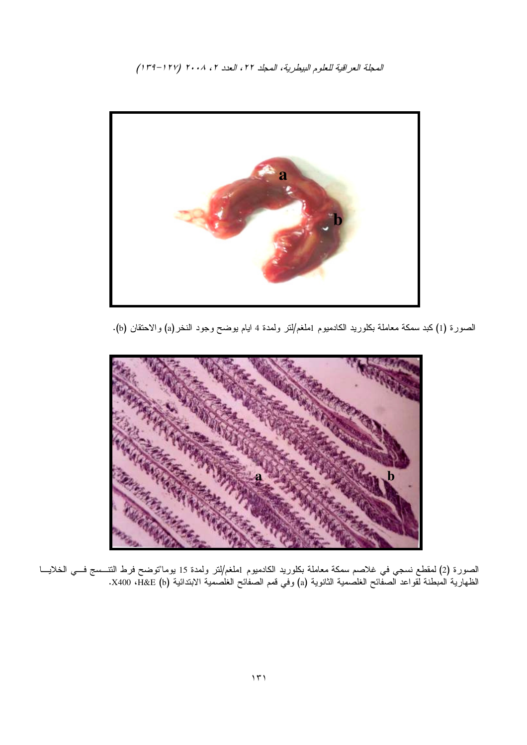المحلة العراقية للعلوم البيطرية، المحلد ٢٢، العدد ٢، ٢٠٠٨ (١٢٧-١٣٩)



الصورة (1) كبد سمكة معاملة بكلوريد الكادميوم 1ملغم/لنر ولمدة 4 ايام يوضح وجود النخر(a) والاحتقان (b).



الصورة (2) لمقطع نسجي في غلاصم سمكة معاملة بكلوريد الكادميوم 1ملغم/لتر ولمدة 15 يوما"توضح فرط الننـــسج فـــي الخلايــــا<br>الظهارية المبطنة لقواعد الصفائح الغلصمية الثانوية (a) وفي قمم الصفائح الغلصمية الابتدائية X400 ،H&E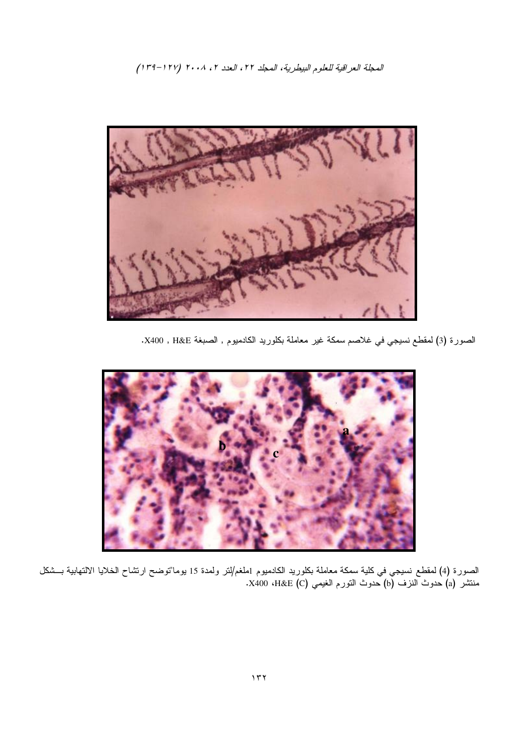الممجلة العراقية للعلوم البيطرية، الممجلد ٢٢، العدد ٢، ٢٠٠٨ (١٢٧–٣٩٩)



الصورة (3) لمقطع نسيجي في غلاصم سمكة غير معاملة بكلوريد الكادميوم , الصبغة X400 , H&E.



الصورة (4) لمقطع نسيجي في كلية سمكة معاملة بكلوريد الكادميوم 1ملغم/لنر ولمدة 15 يوما"توضح ارتشاح الخلايا الالتهابية بـــشكل منتشر (a) حدوث النزف (b) حدوث النورم الغيمي X400 ،H&E (C).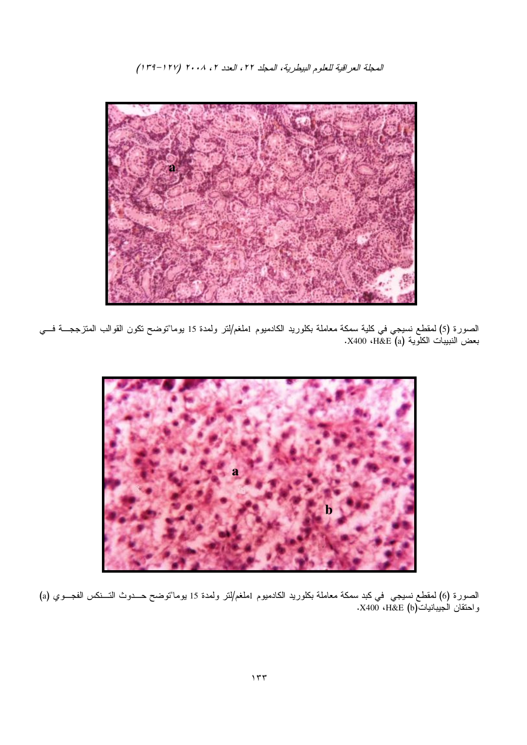المعجلة العراقية للعلوم البيطرية، المحلد ٢٢، العدد ٢، ٢٠٠٨ (١٢٧-٣٩)



الصورة (5) لمقطع نسيجي في كلية سمكة معاملة بكلوريد الكادميوم 1ملغم/لنر ولمدة 15 يوما"توضح نكون القوالب المنزججــــة فـــي<br>بعض النبيبات الكلوية (a) K400 ،H&E.



الصورة (6) لمقطع نسيجي في كبد سمكة معاملة بكلوريد الكادميوم 1ملغم/لتر ولمدة 15 يوما"توضح حـــدوث التـــنكس الفجـــوي (a) واحتقان الجيبانيات(H&E (b، وK400 .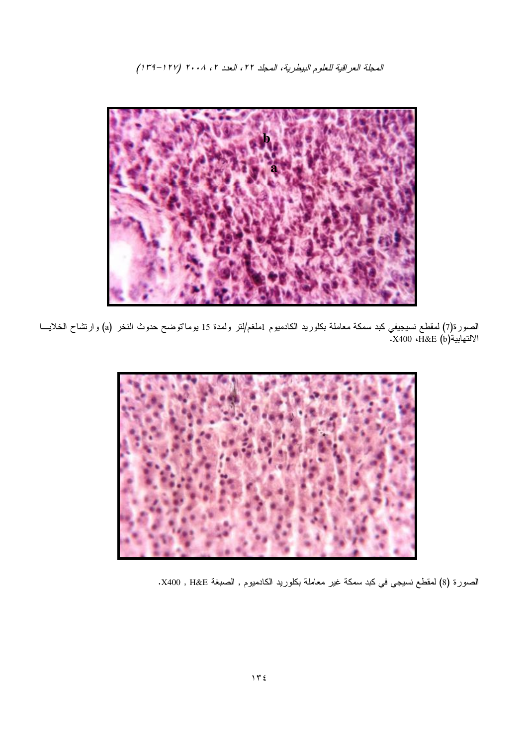المحبلة العراقية للعلوم البيطرية، المحلد ٢٢، العدد ٢، ٢٠٠٨ (١٢٧-٣٩)



الصورة(7) لمقطع نسيجيفي كبد سمكة معاملة بكلوريد الكادميوم 1ملغم/لنر ولمدة 15 يوما"توضح حدوث النخر (a) وارتشاح الخلايـــا الالتهابية(X400 ،H&E (b).



الصورة (8) لمقطع نسيجي في كبد سمكة غير معاملة بكلوريد الكادميوم , الصبغة X400 , H&E.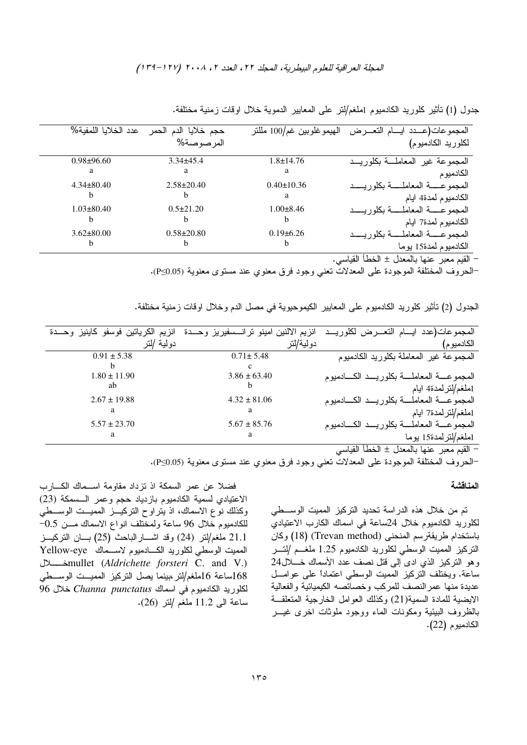الممجلة العراقية للعلوم البيطرية، الممجلد ٢٢، العدد ٢، ٢٠٠٨ (١٢٧–٣٩٩)

| عدد الخلايا اللمفية% | حجم خلايا الدم<br>الحمر | الهيموغلوبين غم/100 مللتر | التعبر ض<br>المجموعات(عـــدد                      |
|----------------------|-------------------------|---------------------------|---------------------------------------------------|
|                      | المرصوصة%               |                           | لكلوريد الكادميوم)                                |
| $0.98 \pm 96.60$     | $3.34\pm45.4$           | $1.8 \pm 14.76$           | المجموعة غير المعاملة بكلوريب                     |
| а                    | а                       | a                         | الكادميو م                                        |
| $4.34 \pm 80.40$     | $2.58 \pm 20.40$        | $0.40 \pm 10.36$          | المجمو عــــــــة المعاملــــــــة بكلور يــــــد |
|                      |                         | a                         | الكادميوم لمدة4 ايام                              |
| $1.03 \pm 80.40$     | $0.5 \pm 21.20$         | $1.00\pm8.46$             | المجموعـــــة المعاملـــــة بكلور بـــــد         |
|                      |                         |                           | الكادميوم لمدة7 ايام                              |
| $3.62 \pm 80.00$     | $0.58 + 20.80$          | $0.19\pm 6.26$            | المجمو عـــــة المعاملـ                           |
|                      |                         |                           | الكادميوم لمدة15 يو ما                            |
|                      |                         |                           | القيم معبر عنها بالمعدل ± الخطأ القياسي.          |

جدول (1) نَأْثَيْرِ كَلُورِيدِ الْكَادْمُيُومِ [ملغم/لتر على المعايير الدموية خلال اوقات زمنية مختلفة.

−الحروف المختلفة الموجودة على المعدلات تعني وجود فرق معنوي عند مستوى معنوية (P≤0.05).

| الجدول (2) نأثير كلوريد الكادميوم على المعابير الكيموحيوية في مصل الدم وخلال اوقات زمنية مختلفة. |  |  |  |  |  |  |
|--------------------------------------------------------------------------------------------------|--|--|--|--|--|--|
|--------------------------------------------------------------------------------------------------|--|--|--|--|--|--|

| المجموعات(عدد ا<br>ايـــام النعـــــرض لكلوريـ                                                                  | انزيم الالنين امينو نرانسسفيريز وحدة | الكرياتين فوسفو كاينيز وحـــدة<br>انزيم |
|-----------------------------------------------------------------------------------------------------------------|--------------------------------------|-----------------------------------------|
| الكادميوم ا                                                                                                     | دو لية/لتر                           | دولية                                   |
| المجموعة غير المعاملة بكلوريد الكادميوم                                                                         | $0.71 \pm 5.48$                      | $0.91 \pm 5.38$                         |
|                                                                                                                 |                                      |                                         |
| المجمو عسة المعاملسة بكلوري<br>الكسادميوم                                                                       | $3.86 \pm 63.40$                     | $1.80 \pm 11.90$                        |
| 1ملغم/لترلمدة4 ايام                                                                                             | h                                    | ab                                      |
| المجموعسة المعامل<br>َ ــــة بكلو                                                                               | $4.32 \pm 81.06$                     | $2.67 \pm 19.88$                        |
| 1ملغم/لترلمدة7 ايام                                                                                             | a                                    | a                                       |
| المجموعسة المعامل                                                                                               | $5.67 \pm 85.76$                     | $5.57 \pm 23.70$                        |
| 1ملغم/لتر لمدة15 يوما                                                                                           | a                                    | a                                       |
| $\pm$ 11 $\cdot$ 11 $\pm$<br>.∹ M …<br>$\mathbf{I}$ , $\mathbf{M}$ , $\mathbf{I}$ , $\mathbf{I}$ , $\mathbf{I}$ |                                      |                                         |

– القيم معبر عنها بالمعدل ± الخطأ القياسي

−الحروف المختلفة الموجودة على المعدلات تعني وجود فرق معنوي عند مستوى معنوية (P≤0.05).

# المناقشة

تم من خلال هذه الدراسة تحديد النركيز المميت الوســـطي لكلوريد الكادميوم خلال 24ساعة في اسماك الكارب الاعتيادي باستخدام طريقةرسم المنحني (Trevan method) (18) وكان النركيز المميت الوسطي لكلوريد الكادميوم 1.25 ملغــم /لنــــر وهو النركيز الذي ادى إلى قتل نصف عدد الأسماك خــــــــلال24 ساعة. ويختلف النركيز المميت الوسطى اعتماداً على عوامـــل عديدة منها عمرالنصف للمركب وخصائصه الكيميائية والفعالية الايضية للمادة السمية(21) وكذلك العوامل الخارجية المتعلقــة بالظروف البيئية ومكونات الماء ووجود ملوثات اخرى غيـــر الكادميوم (22).

فضلا عن عمر السمكة اذ نزداد مقاومة اســـماك الكــــارب الاعتيادي لسمية الكادميوم بازدياد حجم وعمر الـــسمكة (23) وكذلك نوع الاسماك، اذ يتراوح النركيـــز المميـــت الوســــطي للكادميوم خلال 96 ساعة ولمختلف انواع الاسماك مـــن 0.5– 21.1 ملغم/لنر (24) وقد اشــــارالباحث (25) بـــان النركيـــز المميت الوسطي لكلوريد الكــــادميوم لاســــماك Yellow-eye ';;<mullet (*Aldrichette forsteri* C. and V.) 168ساعة 16ملغم/لنز ،بينما يصل النزكيز المميـــن الوســـطي لكلوريد الكادميوم في اسماك *Channa punctatus خ*لال 96 ساعة الى 11.2 ملغم /لنر (26).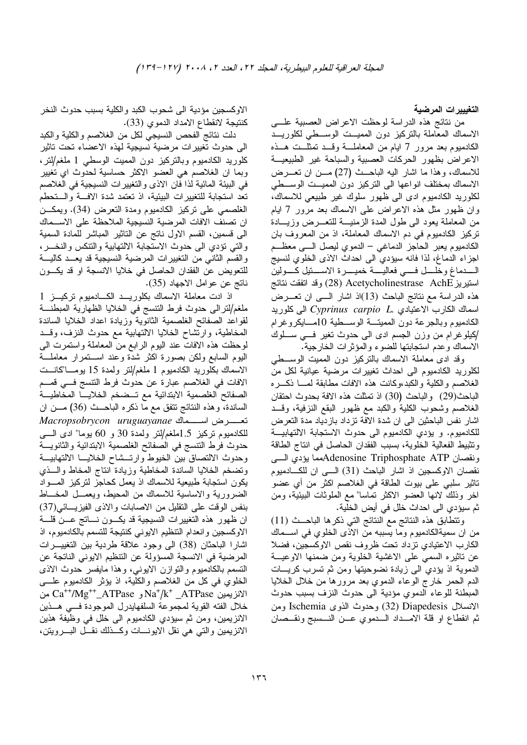التغيبيرات المرضية

من نتائج هذه الدراسة لوحظت الاعراض العصبية علـــي الاسماك المعاملة بالتركيز دون المميــت الوســـطى لكلوريـــد الكادميوم بعد مرور 7 ايام من المعاملـــة وقـــد تمثلــت هـــذه الاعراض بظهور الحركات العصبية والسباحة غير الطبيعيــة للاسماك، وهذا ما اشار اليه الباحث (27) مـن ان نعـــرض الاسماك بمختلف انواعها الى النزكيز دون المميــت الوســطى لكلوريد الكادميوم ادى الى ظهور سلوك غير طبيعي للاسماك، و ان ظهور مثل هذه الاعراض علمي الاسماك بعد مرور 7 ابام من المعاملة بعود الى طول المدة الزمنيـــة للنعــــرض وزيـــادة تركيز الكادميوم في دم الاسماك المعاملة، اذ من المعروف بان الكادميوم يعبر الحاجز الدماغي – الدموي ليصل السي معظم اجزاء الدماغ، لذا فانه سيؤدي الى احداث الاذى الخلوي لنسيج السدماغ وخلسل فسـي فعاليسـة خميــــرة الاســــنيل كــــولين استيريز Acetycholinestrase AchE (28) وقد انفقت نتائج هذه الدراسة مع نتائج الباحث (13)اذ اشار الــــي ان تعــــرض اسماك الكارب الاعتبادي .Oyprinus carpio L التي كلوريد الكادميوم وبالجرعة دون المميتـــة الوســــطية 10مــــايكروغرام كيلوغرام من وزن الجسم ادى الى حدوث نغير فسى ســـلوك الاسماك وعدم استجابتها للضوء والمؤثرات الخارجية.

وقد ادى معاملة الاسماك بالنركيز دون المميت الوســـطي لكلوريد الكادميوم الى احداث تغييرات مرضية عيانية لكل من الغلاصم والكلية والكبدءوكانت هذه الافات مطابقة لمسا ذكسره الباحث(29) والباحث (30) اذ نمثلت هذه الافة بحدوث احتقان الغلاصم وشحوب الكلية والكبد مع ظهور البقع النزفية، وقـــد اشار نفس الباحثين الى ان شدة الافة نزداد بازدياد مدة التعرض للكادميوم. و يؤدي الكادميوم الى حدوث الاستجابة الالتهابيـــة ونثبيط الفعالية الخلوية، بسبب الفقدان الحاصل في انتاج الطاقة ونقصان Adenosine Triphosphate ATPبمما بؤدي السي نقصان الاوكسجين اذ اشار الباحث (31) الهي ان للكادميوم تاثير سلبي على بيوت الطاقة في الغلاصم اكثر من أي عضو اخر وذلك لانها العضو الاكثر تماسا" مع الملوثات البيئية، ومن ثم سيؤدي الى احداث خلل في أيض الخلية.

ونتطابق هذه النتائج مع النتائج التي ذكرها الباحث (11) من ان سميةالكادميوم وما يسببه من الاذي الخلوي في اســـماك الكارب الاعتيادي نزداد نحت ظروف نقص الاوكسجين، فضلا عن ناثيره السمى على الاغشية الخلوية ومن ضمنها الاوعيـــة الدموية اذ يؤدي الىي زيادة نضوحيتها ومن ثم تسرب كريـــات الدم الحمر خارج الوعاء الدموي بعد مرورها من خلال الخلايا المبطنة للوعاء الدموي مؤدية الى حدوث النزف بسبب حدوث الانسلال Diapedesis وحدوث الذوى Ischemia ومن ثم انقطاع او قلَّة الامـــداد الــــدموي عــــن النــــسبج ونقـــصـان

الاوكسجين مؤدية الى شحوب الكبد والكلية بسبب حدوث النخر كنتيجة لانقطاع الامداد الدموي (33).

دلت نتائج الفحص النسيجي لكل من الغلاصم والكلية والكبد الى حدوث تغييرات مرضية نسيجية لهذه الاعضاء تحت تاثير كلوريد الكادميوم وبالتركيز دون المميت الوسطى 1 ملغم/لتر ، وبما ان الغلاصم هي العضو الاكثر حساسية لحدوث اي تغيير في البيئة المائية لذا فان الاذى والتغيير ات النسيجية في الغلاصم نعد استجابة للتغييرات البيئية، اذ تعتمد شدة الاف ّ والـــتحطم الغلصمي على نركيز الكادميوم ومدة النعرض (34). ويمكـــن ان تصنف الافات المرضية النسيجية الملاحظة على الاسـماك الـي قسمين، القسم الاول نـاتـج عن النـاثير الممباشر للمـادة السمية والتي نؤدي الى حدوث الاستجابة الالتهابية والتنكس والنخـــر، والقسم الثانى من التغييرات المرضية النسيجية قد يعــد كاليـــة للتعويض عن الفقدان الحاصل في خلايا الانسجة او قد يكـــون ناتج عن عوامل الاجهاد (35).

اذ ادت معاملة الاسماك بكلوريــد الكـــادميوم تركيــز 1 ملغم/لترالي حدوث فرط التتسج في الخلايا الظهارية المبطنة لقواعد الصفائح الغلصمية الثانوية وزيادة اعداد الخلايا الساندة المخاطية، وارتشاح الخلايا الالتهابية مع حدوث النزف، وقـــد لموحظت هذه الافات عند اليوم الرابع من المعاملة واستمرت الى البوم السابع ولكن بصورة اكثر شدة وعند اســـنمرار معاملـــة الاسماك بكلوريد الكادميوم 1 ملغم/لنر ولمدة 15 يومـــا"كانـــت الافات في الغلاصم عبارة عن حدوث فرط النتسج فـــي قمـــم الصفائح الغلصمية الابتدائية مع تــضخم الخلايـــا المخاطيـــة الساندة، وهذه النتائج نتفق مع ما ذكره الباحــث (36) مـــن ان تعسرض استماك Macropsobrycon uruguayanae للكادميوم نركيز 1.5ملغم/لنر ولمدة 30 و 60 يوما" ادى السبي حدوث فرط النتسج في الصفائح الغلصمية الابتدائية والثانويــــة وحدوث الالتصاق بين الخيوط وارتسشاح الخلايسا الالتهابيسة ونضخم الخلايا الساندة المخاطية وزيادة انتاج المخاط والسذى يكون استجابة طبيعية للاسماك اذ يعمل كحاجز لتركيز المسواد الضرورية والاساسية للاسماك من المحيط، ويعمــل المخـــاط بنفس الوقت على النقليل من الاصابات والاذي الفيزيــــائـي(37) ان ظهور هذه التغييرات النسيجية قد يكـــون نــــاتج عـــن قلــــة الاوكسجين وانعدام التنظيم الايوني كنتيجة للتسمم بالكادميوم، اذ اشارا الباحثان (38) الى وجود علاقة طردية بين التغييـــرات المرضية في الانسجة المسؤولة عن النتظيم الايوني الناتجة عن النسمم بالكادميوم والنوازن الايوني، وهذا مايفسر حدوث الاذى الخلوي في كل من الغلاصم والكلية، اذ يؤثر الكادميوم علــــي الانزيمين Na<sup>+</sup>/k<sup>+</sup>\_ATPase و Ca<sup>++</sup>/Mg<sup>++</sup>\_ATPase من خلال الفته القوية لمجموعة السلفهابدرل الموجودة فسي هــذين الانزيمين، ومن ثم سيؤدي الكادميوم الى خلل في وظيفة هذين الانزيمين والتي هي نقل الايونـــات وكـــذلك نقـــل البــــرويتن،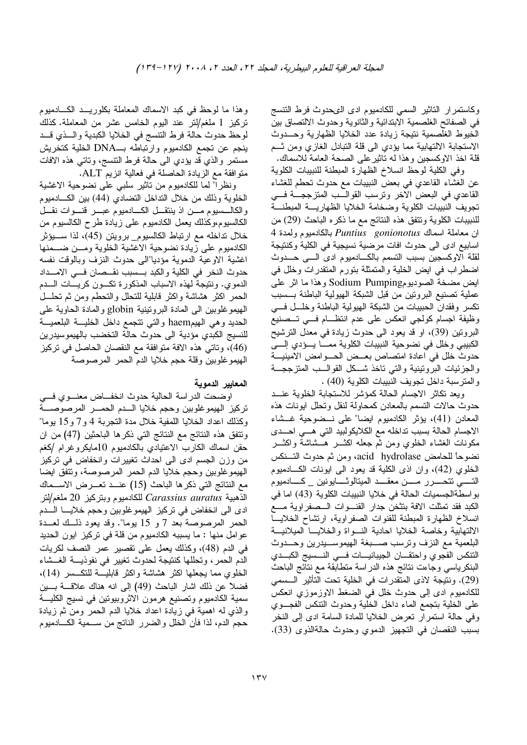وكاستمرار النتاثير السمى للكادميوم ادى الىعدوث فرط التنسج في الصفائح الغلصمية الابتدائية والثانوية وحدوث الالتصاق بين الخيوط الغلصمية نتيجة زيادة عدد الخلايا الظهارية وحسدوث الاستجابة الالتهابية مما يؤدي الى قلة النبادل الغازي ومن ثــم قلَّة اخذ الاوكسجين وهذا له ناثيرعلمي الصحة العامة للاسماك.

وفي الكلية لوحظ انسلاخ الظهارة المبطنة للنبيبات الكلوية عن الغشاء القاعدي في بعض النبيبات مع حدوث تحطم للغشاء القاعدي في البعض الاخر ونرسب القوالـــب المتزججــــة فــــي نجويف النبيبات الكلوية وضخامة الخلايا الظهاريسة المبطنسة للنبيبات الكلوية ونتفق هذه النتائج مع ما ذكره الباحث (29) من ان معاملة اسماك Puntius gonionotus بالكادميوم ولمدة 4 اسابيع ادى الى حدوث افات مرضية نسيجية في الكلية وكنتيجة لقلة الاوكسجين بسبب التسمم بالكـــادميوم ادى الــــى حـــدوث اضطراب في ايض الخلية والمتمثلة بنورم المتقدرات وخلل في ايض مضخة الصوديومSodium Pumping وهذا ما اثر على عملية تصنيع البرونين من قبل الشبكة الهيولية الباطنة بـــسبب نكسر وفقدان الحبيبات من الشبكة الهيولية الباطنة وخلـــل فــــى وظيفة اجسام كولجي انعكس على عدم انتظـــام فــــي تـــصنيع البروتين (39)، او قد يعود الى حدوث زيادة في معدل الترشيح الكبيبي وخلل في نضوحية النبيبات الكلوية ممـــا بـــؤدي إلــــي حدوث خلل في اعادة امتصاص بعــض الحـــوامض الامينيـــة والجزئيات البروننينية والنبى ناخذ شكل القوالسب المنزججة والمنرسبة داخل نجويف النبيبات الكلوية (40).

ويعد نكاثر الاجسام الحالة كمؤشر للاستجابة الخلوية عنسد حدوث حالات النسمم بالمعادن كمحاولة لنقل ونحلل ابونات هذه المعادن (41)، بؤثر الكادميوم ايضا" على نــضوحية غــشاء الاجسام الحالة بسبب نداخله مع الكلايكولبيد التي هــي احـــدى مكونات الغشاء الخلوي ومن ثم جعله اكثــــر هـــشاشة واكثــــر نضوحًا للحامض acid hydrolase، ومن ثم حدوث التسنكس الخلوي (42)، وإن اذي الكلية قد يعود البي ايونات الكـادميوم التسبي نتحسرر مسن معقــد الميتالوثـــايونين \_كـــادميوم بواسطةالجسميات الحالة في خلايا النبيبات الكلوية (43) اما في الكبد فقد تمثلت الافة بتثخن جدار القنسوات السصفراوية مسع انسلاخ الظهارة المبطنة للقنوات الصفراوية، ارتشاح الخلايسا الالتهابية وخاصة الخلايا احادية النسواة والخلايسا الميلانيسة البلعمية مع النزف ونرسب صـــبغة الهيموســـيدرين وحـــدوث النتكس الفجوي واحتقـــان الـجيبانيــــات فــــي النــــسيج الكبـــدي البنكرياسي وجاءت نتائج هذه الدراسة متطابقة مع نتائج الباحث (29). ونتَيجة لاذى المتَقدرات في الخلية تحت التأثير الـــسمي للكادميوم ادى إلى حدوث خلل في الضغط الاوزموزي انعكس على الخلية بتجمع الماء داخل الخلية وحدوث النتكس الفجوي وفي حالة استمرار نعرض الخلايا للمادة السامة ادى إلى النخر بسبب النقصان في التجهيز الدموي وحدوث حالةالذوى (33).

وهذا ما لوحظ في كبد الاسماك المعاملة بكلوريـــد الكــــادميوم تركيز 1 ملغم/لتر عند اليوم الخامس عشر من المعاملة. كذلك لوحظ حدوث حالة فرط النتسج في الخلايا الكبدية والسذي قسد ينجم عن نجمع الكادميوم وارتباطه بــDNA الخلية كتخريش مستمر والذي قد بؤدي الى حالة فرط التنسج، وناتبي هذه الافات منو افقة مع الزيادة الحاصلة في فعالية انزيم ALT.

ونظرا" لما للكادميوم من ناثير سلبي على نضوحية الاغشية الخلوية وذلك من خلال النداخل النضادي (44) بين الكـــادميوم والكالسسيوم مسن اذ ينتقـــل الكــــادميوم عبــــر قنــــوات نقــــل الكالسيوم،وكذلك يعمل الكادميوم على زيادة طرح الكالسيوم من خلال نداخله مع ارتباط الكالسيوم\_ برويتن (45)، لذا ســــيؤثر الكادميوم علىي زيادة نضوحية الاغشية الخلوية ومسن ضسمنها اغشية الاوعية الدموية مؤديا"المي حدوث النزف وبالوقت نفسه حدوث النخر في الكلية والكبد بـــسبب نقـــصـان فـــي الامــــداد الدموي. ونتيجة لهذه الاسباب المذكورة نكسون كريسات السدم الحمر اكثر هشاشة واكثر قابلية للتحلل والتحطم ومن ثم تحلـــل المهيموغلوبين المي المادة البروتينية globin والمادة الحاوية على الحديد وهي الهيمhaem والنبي نتجمع داخل الخليـــة البلعميـــة للنسيج الكبدي مؤدية الى حدوث حالة التخضب بالهيموسيدرين (46)، وتاتي هذه الافة متوافقة مع النقصان الحاصل في تركيز الهيموغلوبين وقلة حجم خلايا الدم الحمر المرصوصة

## المعايير الدموية

اوضحت الدراسة الحالية حدوث انخفــاض معنـــوي فـــي تركيز الهيموغلوبين وحجم خلايا السدم الحمسر المرصوصسة وكذلك اعداد الخلايا اللمفية خلال مدة النجربة 4 و7 و15 يوما" ونتفق هذه النتائج مع النتائج التي ذكرها الباحثين (47) من ان حقن اسماك الكارب الاعتيادي بالكادميوم 10مايكروغرام /كغم من وزن الجسم ادى الى احداث تغييرات وانخفاض فى نركيز الهيموغلوبين وحجم خلايا الدم الحمر المرصوصة، ونتفق ايضا مع النتائج التي ذكر ها الباحث (15) عنـــد تعـــرض الاســـماك  $20$  الذهبية Carassius auratus للكادميوم وبنركيز 20 ملغم/لنر ادى الى انخفاض في نركيز الهيموغلوبين وحجم خلايــــا الــــدم الحمر المرصوصة بعد 7 و 15 يوما". وقد يعود ذلــك لعـــدة عو امل منها : ما يسببه الكادميوم من قلة في نركيز ايون الحديد في الدم (48)، وكذلك يعمل على نقصير عمر النصف لكريات الدم الحمر، وتحللها كنتيجة لحدوث تغيير في نفوذيـــة الغــشاء الخلوي مما يجعلها اكثر هشاشة واكثر قابليسة للنكسس (14). فضلاً عن ذلك اشار الباحث (49) إلى انه هناك علاقــــة بــــين سمية الكادميوم وتصنيع هرمون الاثروبيونين في نسيج الكليـــة والذي له اهمية في زيادة اعداد خلايا الدم الحمر ومن ثم زيادة حجم الدم، لذا فأن الخلل والضرر النانج من ســـمية الكــــادميوم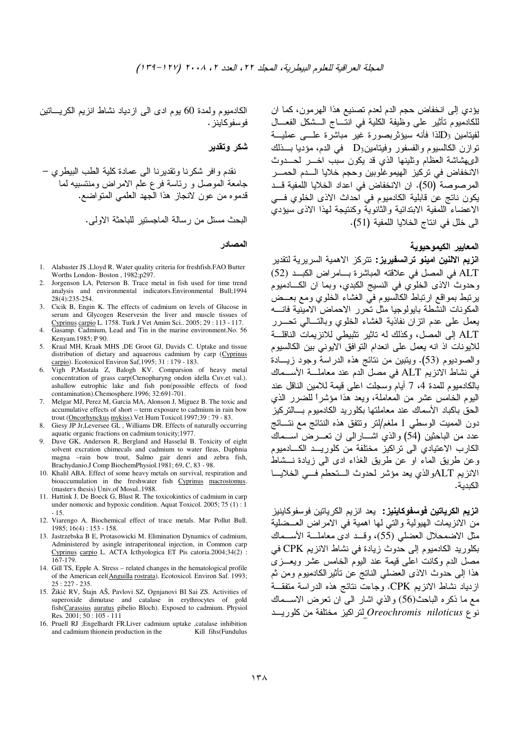يؤدي إلى انخفاض حجم الدم لعدم تصنيع هذا الهرمون، كما ان للكادميوم تأثير على وظيفة الكلية في انتّــاج الــشكل الفعـــال لفيتامين و $\mathrm{D}_3$ لذا فأنه سيؤثربصورة غير مباشرة علـــي عمليـــة  $\rm{D}_3$ نو ازن الكالسيوم و الفسفور وفيتامين $\rm{D}_3$  في الدم، مؤديا بـــذلك التي شاشة العظام وتلبنها الذي قد بكون سبب اخبر لحسدوث الانخفاض في نركيز الهيموغلوبين وحجم خلايا السدم الحمسر المرصوصة (50). ان الانخفاض في اعداد الخلايا اللمفية قــد يكون ناتج عن قابلية الكادميوم في احداث الاذي الخلوي في الاعضاء اللمفية الابتدائية والثانوية وكنتيجة لهذا الاذى سيؤدى الى خلل في انتاج الخلايا اللمفية (51).

## المعايير الكيموحيوية

ا**نزيم الالنين امينو ترانسفيريز:** تتركز الاهمية السريرية لتقدير ALT في المصل في علاقته المباشرة بامراض الكبد (52) وحدوث الاذي الخلوي في النسيج الكبدي، وبما ان الكادميوم يرنبط بمواقع ارتباط الكالسيوم في الغشاء الخلوي ومع بعــضْ المكو نات النشطة بابولوجيا مثل تحر ر الاحماض الامبنية فانسه يعمل على عدم انزان نفاذية الغشاء الخلوي وبالنسالي نحسرر ALT إلى المصل، وكذلك له تاثير تثبيطي للانزيمات الناقلــة للايونات اذ انه يعمل على انعدام النوافق الايوني بين الكالسيوم والصوديوم (53). ويُتبين من نتائج هذه الدراسة وجود زيسادة في نشاط الانزيم ALT في مصل الدم عند معاملـــة الأســـماك بالكادميوم للمدة 4، 7 أيام وسجلت اعلى فيمة للامين الناقل عند اليوم الخامس عشر من المعاملة، ويعد هذا مؤشراً للضرر الذي الحق باكباد الأسماك عند معاملتها بكلوريد الكادميوم بسالتركيز دون المميت الوسطى 1 ملغم/لتر وتتفق هذه النتائج مع نتـــائج عدد من الباحثين (54) والذي اشـــار الى ان تعــــرض اســـماك الكارب الاعتيادي الى تراكيز مختلفة من كلوريــد الكــــادميوم وعن طريق الماء او عن طريق الغذاء ادى الى زيادة نـــشاطّ الانزيم ALTوالذي يعد مؤشر لحدوث الستحطم في الخلايا الكىدىة.

ا**نزيم الكرياتين فوسفوكاينيز :** يعد انزيم الكرياتين فوسفوكاينيز من الانزيمات الهيولية والتي لها اهمية في الامراض العــضلية مثل الاضمحلال العضلي (55)، وقــد ادى معاملـــة الأســماك بكلوريد الكادميوم إلى حدوث زيادة في نشاط الانزيم CPK في مصل الدم وكانت اعلى فيمة عند اليوم الخامس عشر ويعــزى هذا إلى حدوث الاذى العضلي النانتج عن نأثير الكادميوم ومن ثم ازدياد نشاط الانزيم CPK. وجاءت نتائج هذه الدراسة متفقــة مع ما ذكره الباحث(56) والذي اشار الى ان نعرض الاســماك نوع Oreochromis niloticus لتراكيز مختلفة من كلوريــد

الكادميوم ولمدة 60 يوم ادى الى ازدياد نشاط انزيم الكريساتين فو سفو كابنز .

شكر وتقدير

نقدم و افر شكر نا وتقدير نا الى عمادة كلبة الطب البيطر ي – جامعة الموصل و رئاسة فرع علم الامراض ومنتسبيه لما قدموه من عون لانجاز هذا الجهد العلمي المنواضع.

البحث مسنل من رسالة الماجستير للباحثة الاولى.

المصادر

- 1. Alabaster JS , Lloyd R. Water quality criteria for freshfish. FAO Butter Worths London-Boston, 1982;p297.
- Jorgenson LA, Peterson B. Trace metal in fish used for time trend analysis and environmental indicators. Environmental Bull;1994 28(4):235-254
- 3. Cicik B, Engin K. The effects of cadmium on levels of Glucose in serum and Glycogen Reservesin the liver and muscle tissues of Cyprinus carpio L. 1758. Turk J Vet Amim Sci.. 2005; 29 : 113 - 117.
- 4. Gasamp. Cadmium, Lead and Tin in the marine environment. No. 56 Kenyam.1985; P 90.
- 5. Kraal MH, Kraak MHS ,DE Groot GJ, Davids C. Uptake and tissue distribution of dietary and aquaerous cadmium by carp (Cyprinus carpio). Ecotoxicol Environ Saf, 1995; 31 : 179 - 183.
- 6. Vigh P,Mastala Z, Balogh KV. Comparsion of heavy metal concentration of grass carp(Ctenopharyng ondon idella Cuv.et val.). ashallow eutrophic lake and fish pon(possible effects of food contamination).Chemosphere.1996; 32:691-701.
- 7. Melgar MJ, Perez M, Garcia MA, Alonson J, Miguez B. The toxic and accumulative effects of short - term exposure to cadmium in rain bow trout (Oncorhynckus mykiss). Vet Hum Toxicol. 1997;39:79 - 83.
- 8. Giesy JP Jr, Leversee GL, Williams DR. Effects of naturally occurring aquatic organic fractions on cadmium toxicity;1977.
- 9. Dave GK, Anderson R, Bergland and Hasselal B. Toxicity of eight solvent excration chimecals and cadmium to water fleas, Daphnia magna -rain bow trout, Salmo gair denri and zebra fish, Brachydanio.J Comp BiochemPhysiol.1981; 69, C, 83 - 98.
- 10. Khalil ABA. Effect of some heavy metals on survival, respiration and bioaccumulation in the freshwater fish Cyprinus macrostomus. (master's thesis) Univ.of Mosul..1988.
- 11. Hattink J, De Boeck G, Blust R. The toxicokintics of cadmium in carp under nomoxic and hypoxic condition. Aquat Toxicol. 2005; 75 (1) :  $1$  $-15$
- 12. Viarengo A. Biochemical effect of trace metals. Mar Pollut Bull.  $1985; 16(4): 153 - 158.$
- 13. Jastrzebska B E, Protasowicki M. Elimination Dynamics of cadmium, Administered by asingle intraperitoneal injection, in Common carp Cyprinus carpio L. ACTA Icthyologica ET Pis catoria.2004;34(2) : 167-179.
- 14. Gill TS, Epple A. Stress related changes in the hematological profile of the American eel(Anguilla rostrata). Ecotoxicol. Environ Saf. 1993;  $25:227 - 235.$
- 15. Žikić RV, Štajn AŠ, Pavlovi SZ, Ognjanovi BI Sai ZS. Activities of superoxide dimutase and catalase in erythrocytes of gold fish(Carassius auratus gibelio Bloch). Exposed to cadmium. Physiol Res. 2001; 50: 105 - 111
- 16. Pruell RJ ;Engelhardt FR.Liver cadmium uptake ,catalase inhibition and cadmium thionein production in the Kill fihs(Fundulus